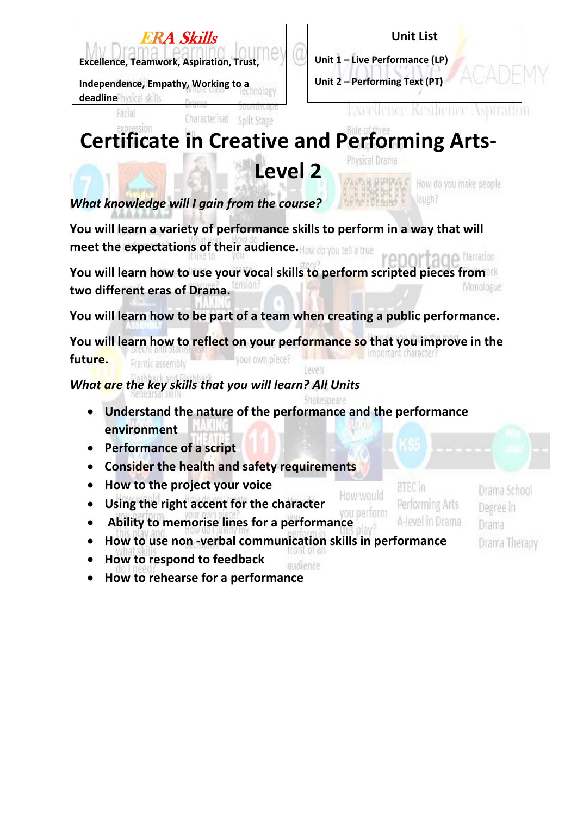

## **Unit List**

**Unit 1 – Live Performance (LP) Unit 2 – Performing Text (PT)**

**Independence, Empathy, Working to a deadline**<sup>physical skills</sup>

Facial



## **Certificate in Creative and Performing Arts-**Physical Drama

**Level 2**

Split Stage

How do you make people laueh?

*What knowledge will I gain from the course?*

Characterisat

**You will learn a variety of performance skills to perform in a way that will meet the expectations of their audience.** Narration

**You will learn how to use your vocal skills to perform scripted pieces from**  Monologue **two different eras of Drama.**

**You will learn how to be part of a team when creating a public performance.**

**You will learn how to reflect on your performance so that you improve in the future.** your own piece? Frantic assembly levels

## *What are the key skills that you will learn? All Units*

- hakesheare • **Understand the nature of the performance and the performance environment**
- **Performance of a script**
- **Consider the health and safety requirements**
- **How to the project your voice**
- **Using the right accent for the character**  • **Ability to memorise lines for a performance**

How would

**BTEC** in Performing Arts A-level in Drama

Drama School Degree in Drama Drama Therapy

- **How to use non -verbal communication skills in performance**
- **How to respond to feedback**  audience
- **How to rehearse for a performance**